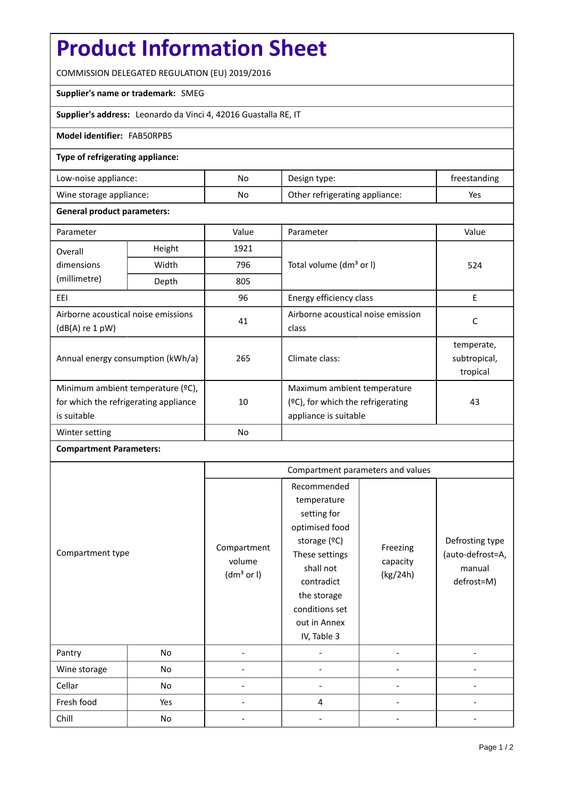# **Product Information Sheet**

COMMISSION DELEGATED REGULATION (EU) 2019/2016

### **Supplier's name or trademark:** SMEG

**Supplier's address:** Leonardo da Vinci 4, 42016 Guastalla RE, IT

### **Model identifier:** FAB50RPB5

### **Type of refrigerating appliance:**

| Low-noise appliance:    | No | Design type:                   | freestanding |
|-------------------------|----|--------------------------------|--------------|
| Wine storage appliance: | No | Other refrigerating appliance: | Yes          |

#### **General product parameters:**

| Parameter                                                                                 |        | Value          | Parameter                                                                                 | Value                                  |
|-------------------------------------------------------------------------------------------|--------|----------------|-------------------------------------------------------------------------------------------|----------------------------------------|
| Overall                                                                                   | Height | 1921           |                                                                                           |                                        |
| dimensions                                                                                | Width  | 796            | Total volume (dm <sup>3</sup> or I)                                                       | 524                                    |
| (millimetre)                                                                              | Depth  | 805            |                                                                                           |                                        |
| EEI                                                                                       |        | 96             | Energy efficiency class                                                                   | E                                      |
| Airborne acoustical noise emissions<br>(dB(A) re 1 pW)                                    |        | 41             | Airborne acoustical noise emission                                                        | C                                      |
|                                                                                           |        |                | class                                                                                     |                                        |
| Annual energy consumption (kWh/a)                                                         |        | 265            | Climate class:                                                                            | temperate,<br>subtropical,<br>tropical |
| Minimum ambient temperature (°C),<br>for which the refrigerating appliance<br>is suitable |        | 10             | Maximum ambient temperature<br>(ºC), for which the refrigerating<br>appliance is suitable | 43                                     |
| Winter setting                                                                            |        | N <sub>o</sub> |                                                                                           |                                        |

## **Compartment Parameters:**

|                  |     | Compartment parameters and values               |                                                                                                                                                                                          |                                  |                                                             |
|------------------|-----|-------------------------------------------------|------------------------------------------------------------------------------------------------------------------------------------------------------------------------------------------|----------------------------------|-------------------------------------------------------------|
| Compartment type |     | Compartment<br>volume<br>(dm <sup>3</sup> or I) | Recommended<br>temperature<br>setting for<br>optimised food<br>storage (°C)<br>These settings<br>shall not<br>contradict<br>the storage<br>conditions set<br>out in Annex<br>IV, Table 3 | Freezing<br>capacity<br>(kg/24h) | Defrosting type<br>(auto-defrost=A,<br>manual<br>defrost=M) |
| Pantry           | No  |                                                 |                                                                                                                                                                                          |                                  |                                                             |
| Wine storage     | No  |                                                 |                                                                                                                                                                                          |                                  |                                                             |
| Cellar           | No  |                                                 |                                                                                                                                                                                          |                                  |                                                             |
| Fresh food       | Yes |                                                 | 4                                                                                                                                                                                        |                                  |                                                             |
| Chill            | No  |                                                 |                                                                                                                                                                                          |                                  |                                                             |